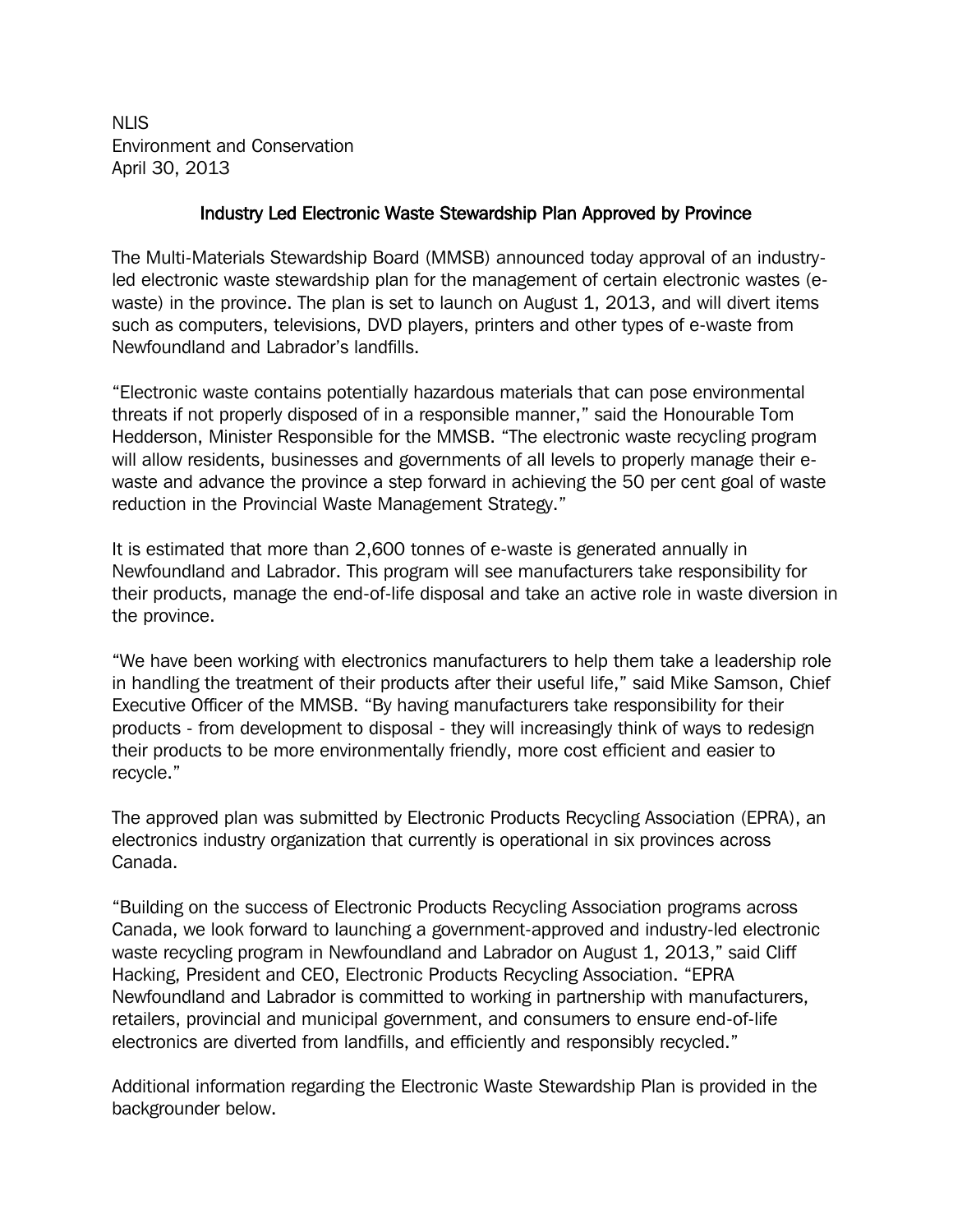NLIS Environment and Conservation April 30, 2013

## Industry Led Electronic Waste Stewardship Plan Approved by Province

The Multi-Materials Stewardship Board (MMSB) announced today approval of an industryled electronic waste stewardship plan for the management of certain electronic wastes (ewaste) in the province. The plan is set to launch on August 1, 2013, and will divert items such as computers, televisions, DVD players, printers and other types of e-waste from Newfoundland and Labrador's landfills.

"Electronic waste contains potentially hazardous materials that can pose environmental threats if not properly disposed of in a responsible manner," said the Honourable Tom Hedderson, Minister Responsible for the MMSB. "The electronic waste recycling program will allow residents, businesses and governments of all levels to properly manage their ewaste and advance the province a step forward in achieving the 50 per cent goal of waste reduction in the Provincial Waste Management Strategy."

It is estimated that more than 2,600 tonnes of e-waste is generated annually in Newfoundland and Labrador. This program will see manufacturers take responsibility for their products, manage the end-of-life disposal and take an active role in waste diversion in the province.

"We have been working with electronics manufacturers to help them take a leadership role in handling the treatment of their products after their useful life," said Mike Samson, Chief Executive Officer of the MMSB. "By having manufacturers take responsibility for their products - from development to disposal - they will increasingly think of ways to redesign their products to be more environmentally friendly, more cost efficient and easier to recycle."

The approved plan was submitted by Electronic Products Recycling Association (EPRA), an electronics industry organization that currently is operational in six provinces across Canada.

"Building on the success of Electronic Products Recycling Association programs across Canada, we look forward to launching a government-approved and industry-led electronic waste recycling program in Newfoundland and Labrador on August 1, 2013," said Cliff Hacking, President and CEO, Electronic Products Recycling Association. "EPRA Newfoundland and Labrador is committed to working in partnership with manufacturers, retailers, provincial and municipal government, and consumers to ensure end-of-life electronics are diverted from landfills, and efficiently and responsibly recycled."

Additional information regarding the Electronic Waste Stewardship Plan is provided in the backgrounder below.